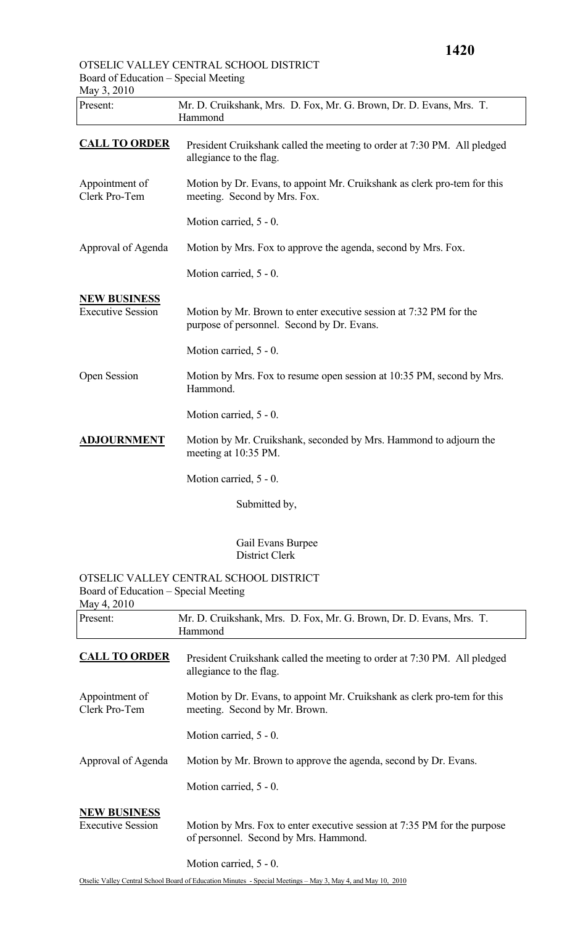## OTSELIC VALLEY CENTRAL SCHOOL DISTRICT Board of Education – Special Meeting

| May 3, 2010                                         |                                                                                                                 |
|-----------------------------------------------------|-----------------------------------------------------------------------------------------------------------------|
| Present:                                            | Mr. D. Cruikshank, Mrs. D. Fox, Mr. G. Brown, Dr. D. Evans, Mrs. T.<br>Hammond                                  |
| <b>CALL TO ORDER</b>                                | President Cruikshank called the meeting to order at 7:30 PM. All pledged<br>allegiance to the flag.             |
| Appointment of<br>Clerk Pro-Tem                     | Motion by Dr. Evans, to appoint Mr. Cruikshank as clerk pro-tem for this<br>meeting. Second by Mrs. Fox.        |
|                                                     | Motion carried, 5 - 0.                                                                                          |
| Approval of Agenda                                  | Motion by Mrs. Fox to approve the agenda, second by Mrs. Fox.                                                   |
|                                                     | Motion carried, 5 - 0.                                                                                          |
| <b>NEW BUSINESS</b><br><b>Executive Session</b>     | Motion by Mr. Brown to enter executive session at 7:32 PM for the<br>purpose of personnel. Second by Dr. Evans. |
|                                                     | Motion carried, 5 - 0.                                                                                          |
| Open Session                                        | Motion by Mrs. Fox to resume open session at 10:35 PM, second by Mrs.<br>Hammond.                               |
|                                                     | Motion carried, 5 - 0.                                                                                          |
| <b>ADJOURNMENT</b>                                  | Motion by Mr. Cruikshank, seconded by Mrs. Hammond to adjourn the<br>meeting at 10:35 PM.                       |
|                                                     | Motion carried, 5 - 0.                                                                                          |
|                                                     | Submitted by,                                                                                                   |
|                                                     | Gail Evans Burpee<br><b>District Clerk</b>                                                                      |
| Board of Education – Special Meeting<br>May 4, 2010 | OTSELIC VALLEY CENTRAL SCHOOL DISTRICT                                                                          |
| Present:                                            | Mr. D. Cruikshank, Mrs. D. Fox, Mr. G. Brown, Dr. D. Evans, Mrs. T.<br>Hammond                                  |
| <b>CALL TO ORDER</b>                                | President Cruikshank called the meeting to order at 7:30 PM. All pledged<br>allegiance to the flag.             |
| Appointment of<br>Clerk Pro-Tem                     | Motion by Dr. Evans, to appoint Mr. Cruikshank as clerk pro-tem for this<br>meeting. Second by Mr. Brown.       |
|                                                     | Motion carried, 5 - 0.                                                                                          |
| Approval of Agenda                                  | Motion by Mr. Brown to approve the agenda, second by Dr. Evans.                                                 |

Motion carried, 5 - 0.

## **NEW BUSINESS**

Executive Session Motion by Mrs. Fox to enter executive session at 7:35 PM for the purpose of personnel. Second by Mrs. Hammond.

Motion carried, 5 - 0.